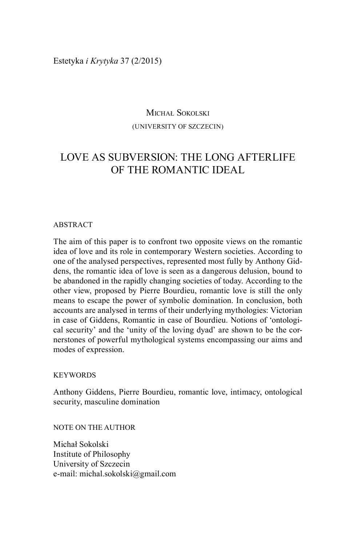Estetyka *i Krytyka* 37 (2/2015)

# Michał Sokolski (University of Szczecin)

# Love as subversion: the long afterlife OF THE ROMANTIC IDEAL

#### ABSTRACT

The aim of this paper is to confront two opposite views on the romantic idea of love and its role in contemporary Western societies. According to one of the analysed perspectives, represented most fully by Anthony Giddens, the romantic idea of love is seen as a dangerous delusion, bound to be abandoned in the rapidly changing societies of today. According to the other view, proposed by Pierre Bourdieu, romantic love is still the only means to escape the power of symbolic domination. In conclusion, both accounts are analysed in terms of their underlying mythologies: Victorian in case of Giddens, Romantic in case of Bourdieu. Notions of 'ontological security' and the 'unity of the loving dyad' are shown to be the cornerstones of powerful mythological systems encompassing our aims and modes of expression.

#### **KEYWORDS**

Anthony Giddens, Pierre Bourdieu, romantic love, intimacy, ontological security, masculine domination

NOTE ON THE AUTHOR

Michał Sokolski Institute of Philosophy University of Szczecin e-mail: michal.sokolski@gmail.com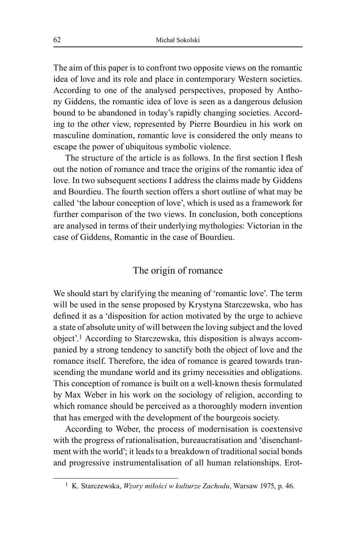The aim of this paper is to confront two opposite views on the romantic idea of love and its role and place in contemporary Western societies. According to one of the analysed perspectives, proposed by Anthony Giddens, the romantic idea of love is seen as a dangerous delusion bound to be abandoned in today's rapidly changing societies. According to the other view, represented by Pierre Bourdieu in his work on masculine domination, romantic love is considered the only means to escape the power of ubiquitous symbolic violence.

The structure of the article is as follows. In the first section I flesh out the notion of romance and trace the origins of the romantic idea of love. In two subsequent sections I address the claims made by Giddens and Bourdieu. The fourth section offers a short outline of what may be called 'the labour conception of love', which is used as a framework for further comparison of the two views. In conclusion, both conceptions are analysed in terms of their underlying mythologies: Victorian in the case of Giddens, Romantic in the case of Bourdieu.

## The origin of romance

We should start by clarifying the meaning of 'romantic love'. The term will be used in the sense proposed by Krystyna Starczewska, who has defined it as a 'disposition for action motivated by the urge to achieve a state of absolute unity of will between the loving subject and the loved object'.<sup>1</sup> According to Starczewska, this disposition is always accompanied by a strong tendency to sanctify both the object of love and the romance itself. Therefore, the idea of romance is geared towards transcending the mundane world and its grimy necessities and obligations. This conception of romance is built on a well-known thesis formulated by Max Weber in his work on the sociology of religion, according to which romance should be perceived as a thoroughly modern invention that has emerged with the development of the bourgeois society.

According to Weber, the process of modernisation is coextensive with the progress of rationalisation, bureaucratisation and 'disenchantment with the world'; it leads to a breakdown of traditional social bonds and progressive instrumentalisation of all human relationships. Erot-

<sup>1</sup> K. Starczewska, *Wzory miłości w kulturze Zachodu*, Warsaw 1975, p. 46.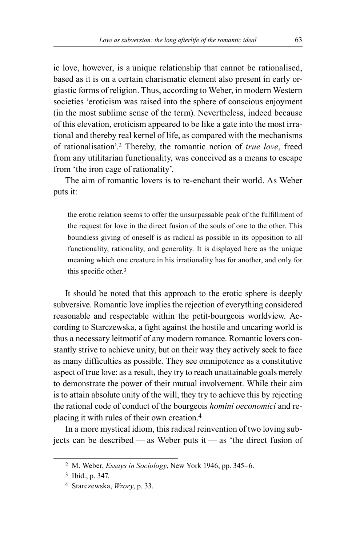ic love, however, is a unique relationship that cannot be rationalised, based as it is on a certain charismatic element also present in early orgiastic forms of religion. Thus, according to Weber, in modern Western societies 'eroticism was raised into the sphere of conscious enjoyment (in the most sublime sense of the term). Nevertheless, indeed because of this elevation, eroticism appeared to be like a gate into the most irrational and thereby real kernel of life, as compared with the mechanisms of rationalisation'.2 Thereby, the romantic notion of *true love*, freed from any utilitarian functionality, was conceived as a means to escape from 'the iron cage of rationality'.

The aim of romantic lovers is to re-enchant their world. As Weber puts it:

the erotic relation seems to offer the unsurpassable peak of the fulfillment of the request for love in the direct fusion of the souls of one to the other. This boundless giving of oneself is as radical as possible in its opposition to all functionality, rationality, and generality. It is displayed here as the unique meaning which one creature in his irrationality has for another, and only for this specific other.3

It should be noted that this approach to the erotic sphere is deeply subversive. Romantic love implies the rejection of everything considered reasonable and respectable within the petit-bourgeois worldview. According to Starczewska, a fight against the hostile and uncaring world is thus a necessary leitmotif of any modern romance. Romantic lovers constantly strive to achieve unity, but on their way they actively seek to face as many difficulties as possible. They see omnipotence as a constitutive aspect of true love: as a result, they try to reach unattainable goals merely to demonstrate the power of their mutual involvement. While their aim is to attain absolute unity of the will, they try to achieve this by rejecting the rational code of conduct of the bourgeois *homini oeconomici* and re‑ placing it with rules of their own creation.4

In a more mystical idiom, this radical reinvention of two loving subjects can be described — as Weber puts it — as 'the direct fusion of

<sup>2</sup> M. Weber, *Essays in Sociology*, New York 1946, pp. 345‒6.

<sup>3</sup> Ibid., p. 347.

<sup>4</sup> Starczewska, *Wzory*, p. 33.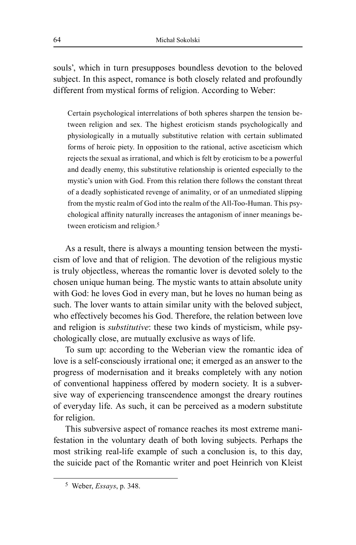souls', which in turn presupposes boundless devotion to the beloved subject. In this aspect, romance is both closely related and profoundly different from mystical forms of religion. According to Weber:

Certain psychological interrelations of both spheres sharpen the tension be‑ tween religion and sex. The highest eroticism stands psychologically and physiologically in a mutually substitutive relation with certain sublimated forms of heroic piety. In opposition to the rational, active asceticism which rejects the sexual as irrational, and which is felt by eroticism to be a powerful and deadly enemy, this substitutive relationship is oriented especially to the mystic's union with God. From this relation there follows the constant threat of a deadly sophisticated revenge of animality, or of an unmediated slipping from the mystic realm of God into the realm of the All-Too-Human. This psychological affinity naturally increases the antagonism of inner meanings be‑ tween eroticism and religion.<sup>5</sup>

As a result, there is always a mounting tension between the mysticism of love and that of religion. The devotion of the religious mystic is truly objectless, whereas the romantic lover is devoted solely to the chosen unique human being. The mystic wants to attain absolute unity with God: he loves God in every man, but he loves no human being as such. The lover wants to attain similar unity with the beloved subject, who effectively becomes his God. Therefore, the relation between love and religion is *substitutive*: these two kinds of mysticism, while psychologically close, are mutually exclusive as ways of life.

To sum up: according to the Weberian view the romantic idea of love is a self-consciously irrational one; it emerged as an answer to the progress of modernisation and it breaks completely with any notion of conventional happiness offered by modern society. It is a subversive way of experiencing transcendence amongst the dreary routines of everyday life. As such, it can be perceived as a modern substitute for religion.

This subversive aspect of romance reaches its most extreme manifestation in the voluntary death of both loving subjects. Perhaps the most striking real-life example of such a conclusion is, to this day, the suicide pact of the Romantic writer and poet Heinrich von Kleist

<sup>5</sup> Weber, *Essays*, p. 348.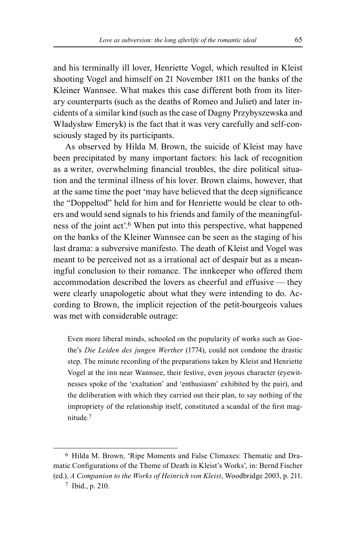and his terminally ill lover, Henriette Vogel, which resulted in Kleist shooting Vogel and himself on 21 November 1811 on the banks of the Kleiner Wannsee. What makes this case different both from its literary counterparts (such as the deaths of Romeo and Juliet) and later in‑ cidents of a similar kind (such as the case of Dagny Przybyszewska and Władysław Emeryk) is the fact that it was very carefully and self-consciously staged by its participants.

As observed by Hilda M. Brown, the suicide of Kleist may have been precipitated by many important factors: his lack of recognition as a writer, overwhelming financial troubles, the dire political situation and the terminal illness of his lover. Brown claims, however, that at the same time the poet 'may have believed that the deep significance the "Doppeltod" held for him and for Henriette would be clear to others and would send signals to his friends and family of the meaningfulness of the joint act'.6 When put into this perspective, what happened on the banks of the Kleiner Wannsee can be seen as the staging of his last drama: a subversive manifesto. The death of Kleist and Vogel was meant to be perceived not as a irrational act of despair but as a meaningful conclusion to their romance. The innkeeper who offered them accommodation described the lovers as cheerful and effusive — they were clearly unapologetic about what they were intending to do. According to Brown, the implicit rejection of the petit-bourgeois values was met with considerable outrage:

Even more liberal minds, schooled on the popularity of works such as Goethe's *Die Leiden des jungen Werther* (1774), could not condone the drastic step. The minute recording of the preparations taken by Kleist and Henriette Vogel at the inn near Wannsee, their festive, even joyous character (eyewitnesses spoke of the 'exaltation' and 'enthusiasm' exhibited by the pair), and the deliberation with which they carried out their plan, to say nothing of the impropriety of the relationship itself, constituted a scandal of the first magnitude.7

<sup>&</sup>lt;sup>6</sup> Hilda M. Brown, 'Ripe Moments and False Climaxes: Thematic and Dramatic Configurations of the Theme of Death in Kleist's Works', in: Bernd Fischer (ed.), *A Companion to the Works of Heinrich von Kleist*, Woodbridge 2003, p. 211.

<sup>7</sup> Ibid., p. 210.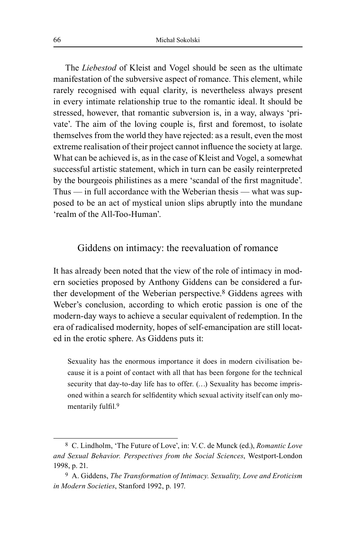The *Liebestod* of Kleist and Vogel should be seen as the ultimate manifestation of the subversive aspect of romance. This element, while rarely recognised with equal clarity, is nevertheless always present in every intimate relationship true to the romantic ideal. It should be stressed, however, that romantic subversion is, in a way, always 'private'. The aim of the loving couple is, first and foremost, to isolate themselves from the world they have rejected: as a result, even the most extreme realisation of their project cannot influence the society at large. What can be achieved is, as in the case of Kleist and Vogel, a somewhat successful artistic statement, which in turn can be easily reinterpreted by the bourgeois philistines as a mere 'scandal of the first magnitude'. Thus — in full accordance with the Weberian thesis — what was supposed to be an act of mystical union slips abruptly into the mundane 'realm of the All‑Too‑Human'.

### Giddens on intimacy: the reevaluation of romance

It has already been noted that the view of the role of intimacy in modern societies proposed by Anthony Giddens can be considered a further development of the Weberian perspective.8 Giddens agrees with Weber's conclusion, according to which erotic passion is one of the modern-day ways to achieve a secular equivalent of redemption. In the era of radicalised modernity, hopes of self-emancipation are still located in the erotic sphere. As Giddens puts it:

Sexuality has the enormous importance it does in modern civilisation because it is a point of contact with all that has been forgone for the technical security that day-to-day life has to offer. (...) Sexuality has become imprisoned within a search for selfidentity which sexual activity itself can only momentarily fulfil.<sup>9</sup>

<sup>8</sup> C. Lindholm, 'The Future of Love', in: V.C. de Munck (ed.), *Romantic Love and Sexual Behavior. Perspectives from the Social Sciences*, Westport‑London 1998, p. 21.

<sup>9</sup> A. Giddens, *The Transformation of Intimacy. Sexuality, Love and Eroticism in Modern Societies*, Stanford 1992, p. 197.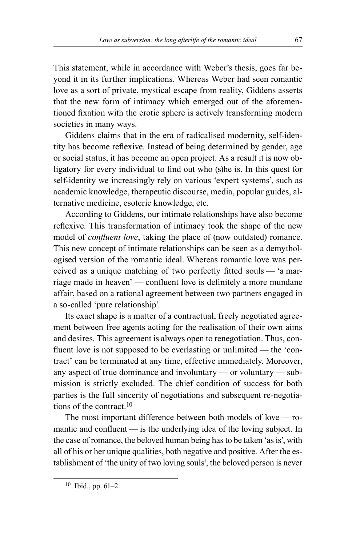This statement, while in accordance with Weber's thesis, goes far beyond it in its further implications. Whereas Weber had seen romantic love as a sort of private, mystical escape from reality, Giddens asserts that the new form of intimacy which emerged out of the aforementioned fixation with the erotic sphere is actively transforming modern societies in many ways.

Giddens claims that in the era of radicalised modernity, self-identity has become reflexive. Instead of being determined by gender, age or social status, it has become an open project. As a result it is now obligatory for every individual to find out who (s)he is. In this quest for self-identity we increasingly rely on various 'expert systems', such as academic knowledge, therapeutic discourse, media, popular guides, alternative medicine, esoteric knowledge, etc.

According to Giddens, our intimate relationships have also become reflexive. This transformation of intimacy took the shape of the new model of *confluent love*, taking the place of (now outdated) romance. This new concept of intimate relationships can be seen as a demythologised version of the romantic ideal. Whereas romantic love was perceived as a unique matching of two perfectly fitted souls — 'a marriage made in heaven' — confluent love is definitely a more mundane affair, based on a rational agreement between two partners engaged in a so‑called 'pure relationship'.

Its exact shape is a matter of a contractual, freely negotiated agreement between free agents acting for the realisation of their own aims and desires. This agreement is always open to renegotiation. Thus, confluent love is not supposed to be everlasting or unlimited — the 'contract' can be terminated at any time, effective immediately. Moreover, any aspect of true dominance and involuntary — or voluntary — submission is strictly excluded. The chief condition of success for both parties is the full sincerity of negotiations and subsequent re-negotiations of the contract.10

The most important difference between both models of love  $\sim$  romantic and confluent — is the underlying idea of the loving subject. In the case of romance, the beloved human being has to be taken 'as is', with all of his or her unique qualities, both negative and positive. After the establishment of 'the unity of two loving souls', the beloved person is never

<sup>10</sup> Ibid., pp. 61-2.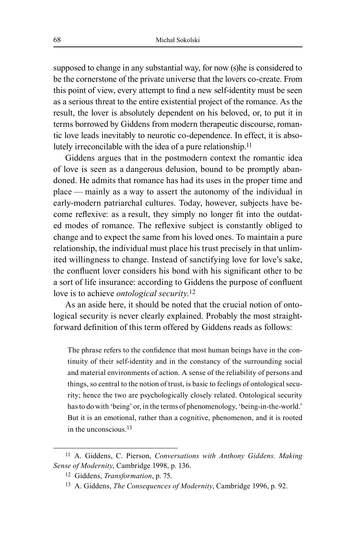supposed to change in any substantial way, for now (s)he is considered to be the cornerstone of the private universe that the lovers co-create. From this point of view, every attempt to find a new self‑identity must be seen as a serious threat to the entire existential project of the romance. As the result, the lover is absolutely dependent on his beloved, or, to put it in terms borrowed by Giddens from modern therapeutic discourse, romantic love leads inevitably to neurotic co-dependence. In effect, it is absolutely irreconcilable with the idea of a pure relationship.<sup>11</sup>

Giddens argues that in the postmodern context the romantic idea of love is seen as a dangerous delusion, bound to be promptly aban‑ doned. He admits that romance has had its uses in the proper time and place — mainly as a way to assert the autonomy of the individual in early-modern patriarchal cultures. Today, however, subjects have become reflexive: as a result, they simply no longer fit into the outdated modes of romance. The reflexive subject is constantly obliged to change and to expect the same from his loved ones. To maintain a pure relationship, the individual must place his trust precisely in that unlimited willingness to change. Instead of sanctifying love for love's sake, the confluent lover considers his bond with his significant other to be a sort of life insurance: according to Giddens the purpose of confluent love is to achieve *ontological security*. 12

As an aside here, it should be noted that the crucial notion of ontological security is never clearly explained. Probably the most straightforward definition of this term offered by Giddens reads as follows:

The phrase refers to the confidence that most human beings have in the continuity of their self‑identity and in the constancy of the surrounding social and material environments of action. A sense of the reliability of persons and things, so central to the notion of trust, is basic to feelings of ontological security; hence the two are psychologically closely related. Ontological security has to do with 'being' or, in the terms of phenomenology, 'being-in-the-world.' But it is an emotional, rather than a cognitive, phenomenon, and it is rooted in the unconscious.<sup>13</sup>

<sup>11</sup> A. Giddens, C. Pierson, *Conversations with Anthony Giddens. Making Sense of Modernity*, Cambridge 1998, p. 136.

<sup>12</sup> Giddens, *Transformation*, p. 75.

<sup>13</sup> A. Giddens, *The Consequences of Modernity*, Cambridge 1996, p. 92.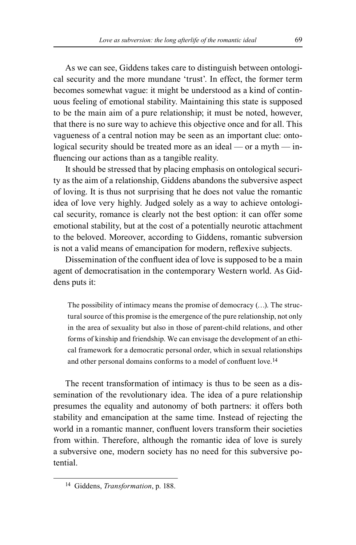As we can see, Giddens takes care to distinguish between ontological security and the more mundane 'trust'. In effect, the former term becomes somewhat vague: it might be understood as a kind of continuous feeling of emotional stability. Maintaining this state is supposed to be the main aim of a pure relationship; it must be noted, however, that there is no sure way to achieve this objective once and for all. This vagueness of a central notion may be seen as an important clue: ontological security should be treated more as an ideal — or a myth — influencing our actions than as a tangible reality.

It should be stressed that by placing emphasis on ontological security as the aim of a relationship, Giddens abandons the subversive aspect of loving. It is thus not surprising that he does not value the romantic idea of love very highly. Judged solely as a way to achieve ontological security, romance is clearly not the best option: it can offer some emotional stability, but at the cost of a potentially neurotic attachment to the beloved. Moreover, according to Giddens, romantic subversion is not a valid means of emancipation for modern, reflexive subjects.

Dissemination of the confluent idea of love is supposed to be a main agent of democratisation in the contemporary Western world. As Giddens puts it:

The possibility of intimacy means the promise of democracy  $(\ldots)$ . The structural source of this promise is the emergence of the pure relationship, not only in the area of sexuality but also in those of parent-child relations, and other forms of kinship and friendship. We can envisage the development of an ethical framework for a democratic personal order, which in sexual relationships and other personal domains conforms to a model of confluent love.14

The recent transformation of intimacy is thus to be seen as a dissemination of the revolutionary idea. The idea of a pure relationship presumes the equality and autonomy of both partners: it offers both stability and emancipation at the same time. Instead of rejecting the world in a romantic manner, confluent lovers transform their societies from within. Therefore, although the romantic idea of love is surely a subversive one, modern society has no need for this subversive potential.

<sup>14</sup> Giddens, *Transformation*, p. 188.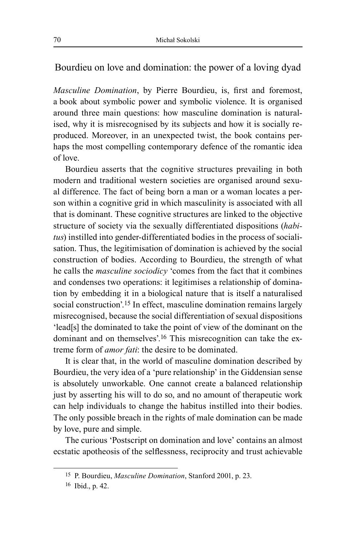## Bourdieu on love and domination: the power of a loving dyad

*Masculine Domination*, by Pierre Bourdieu, is, first and foremost, a book about symbolic power and symbolic violence. It is organised around three main questions: how masculine domination is naturalised, why it is misrecognised by its subjects and how it is socially reproduced. Moreover, in an unexpected twist, the book contains perhaps the most compelling contemporary defence of the romantic idea of love.

Bourdieu asserts that the cognitive structures prevailing in both modern and traditional western societies are organised around sexual difference. The fact of being born a man or a woman locates a person within a cognitive grid in which masculinity is associated with all that is dominant. These cognitive structures are linked to the objective structure of society via the sexually differentiated dispositions (*habitus*) instilled into gender-differentiated bodies in the process of socialisation. Thus, the legitimisation of domination is achieved by the social construction of bodies. According to Bourdieu, the strength of what he calls the *masculine sociodicy* 'comes from the fact that it combines and condenses two operations: it legitimises a relationship of domination by embedding it in a biological nature that is itself a naturalised social construction'.<sup>15</sup> In effect, masculine domination remains largely misrecognised, because the social differentiation of sexual dispositions 'lead[s] the dominated to take the point of view of the dominant on the dominant and on themselves'.<sup>16</sup> This misrecognition can take the extreme form of *amor fati*: the desire to be dominated.

It is clear that, in the world of masculine domination described by Bourdieu, the very idea of a 'pure relationship' in the Giddensian sense is absolutely unworkable. One cannot create a balanced relationship just by asserting his will to do so, and no amount of therapeutic work can help individuals to change the habitus instilled into their bodies. The only possible breach in the rights of male domination can be made by love, pure and simple.

The curious 'Postscript on domination and love' contains an almost ecstatic apotheosis of the selflessness, reciprocity and trust achievable

<sup>15</sup> P. Bourdieu, *Masculine Domination*, Stanford 2001, p. 23.

<sup>16</sup> Ibid., p. 42.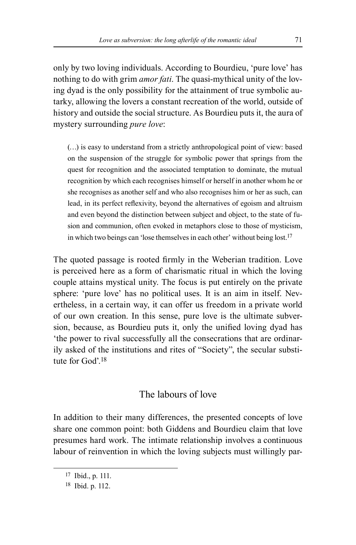only by two loving individuals. According to Bourdieu, 'pure love' has nothing to do with grim *amor fati*. The quasi-mythical unity of the loving dyad is the only possibility for the attainment of true symbolic autarky, allowing the lovers a constant recreation of the world, outside of history and outside the social structure. As Bourdieu puts it, the aura of mystery surrounding *pure love*:

(…) is easy to understand from a strictly anthropological point of view: based on the suspension of the struggle for symbolic power that springs from the quest for recognition and the associated temptation to dominate, the mutual recognition by which each recognises himself or herself in another whom he or she recognises as another self and who also recognises him or her as such, can lead, in its perfect reflexivity, beyond the alternatives of egoism and altruism and even beyond the distinction between subject and object, to the state of fusion and communion, often evoked in metaphors close to those of mysticism, in which two beings can 'lose themselves in each other' without being lost.17

The quoted passage is rooted firmly in the Weberian tradition. Love is perceived here as a form of charismatic ritual in which the loving couple attains mystical unity. The focus is put entirely on the private sphere: 'pure love' has no political uses. It is an aim in itself. Nevertheless, in a certain way, it can offer us freedom in a private world of our own creation. In this sense, pure love is the ultimate subversion, because, as Bourdieu puts it, only the unified loving dyad has 'the power to rival successfully all the consecrations that are ordinar‑ ily asked of the institutions and rites of "Society", the secular substitute for God'.<sup>18</sup>

## The labours of love

In addition to their many differences, the presented concepts of love share one common point: both Giddens and Bourdieu claim that love presumes hard work. The intimate relationship involves a continuous labour of reinvention in which the loving subjects must willingly par-

<sup>17</sup> Ibid., p. 111.

<sup>18</sup> Ibid. p. 112.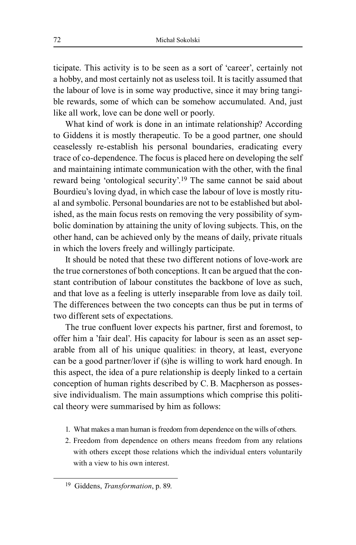ticipate. This activity is to be seen as a sort of 'career', certainly not a hobby, and most certainly not as useless toil. It is tacitly assumed that the labour of love is in some way productive, since it may bring tangible rewards, some of which can be somehow accumulated. And, just like all work, love can be done well or poorly.

What kind of work is done in an intimate relationship? According to Giddens it is mostly therapeutic. To be a good partner, one should ceaselessly re‑establish his personal boundaries, eradicating every trace of co-dependence. The focus is placed here on developing the self and maintaining intimate communication with the other, with the final reward being 'ontological security'.<sup>19</sup> The same cannot be said about Bourdieu's loving dyad, in which case the labour of love is mostly ritual and symbolic. Personal boundaries are not to be established but abolished, as the main focus rests on removing the very possibility of symbolic domination by attaining the unity of loving subjects. This, on the other hand, can be achieved only by the means of daily, private rituals in which the lovers freely and willingly participate.

It should be noted that these two different notions of love-work are the true cornerstones of both conceptions. It can be argued that the constant contribution of labour constitutes the backbone of love as such, and that love as a feeling is utterly inseparable from love as daily toil. The differences between the two concepts can thus be put in terms of two different sets of expectations.

The true confluent lover expects his partner, first and foremost, to offer him a 'fair deal'. His capacity for labour is seen as an asset separable from all of his unique qualities: in theory, at least, everyone can be a good partner/lover if (s)he is willing to work hard enough. In this aspect, the idea of a pure relationship is deeply linked to a certain conception of human rights described by C. B. Macpherson as possessive individualism. The main assumptions which comprise this political theory were summarised by him as follows:

- 1. What makes a man human is freedom from dependence on the wills of others.
- 2. Freedom from dependence on others means freedom from any relations with others except those relations which the individual enters voluntarily with a view to his own interest.

<sup>19</sup> Giddens, *Transformation*, p. 89.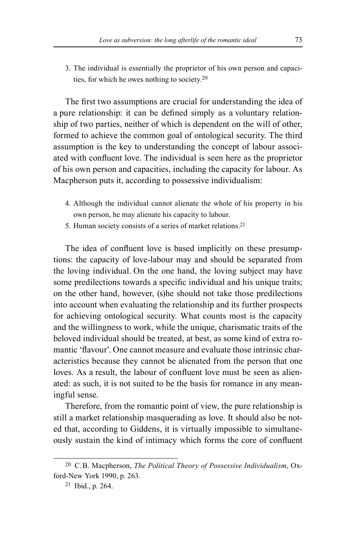3. The individual is essentially the proprietor of his own person and capacities, for which he owes nothing to society.20

The first two assumptions are crucial for understanding the idea of a pure relationship: it can be defined simply as a voluntary relationship of two parties, neither of which is dependent on the will of other, formed to achieve the common goal of ontological security. The third assumption is the key to understanding the concept of labour associated with confluent love. The individual is seen here as the proprietor of his own person and capacities, including the capacity for labour. As Macpherson puts it, according to possessive individualism:

- 4. Although the individual cannot alienate the whole of his property in his own person, he may alienate his capacity to labour.
- 5. Human society consists of a series of market relations.21

The idea of confluent love is based implicitly on these presumptions: the capacity of love‑labour may and should be separated from the loving individual. On the one hand, the loving subject may have some predilections towards a specific individual and his unique traits; on the other hand, however, (s)he should not take those predilections into account when evaluating the relationship and its further prospects for achieving ontological security. What counts most is the capacity and the willingness to work, while the unique, charismatic traits of the beloved individual should be treated, at best, as some kind of extra romantic 'flavour'. One cannot measure and evaluate those intrinsic characteristics because they cannot be alienated from the person that one loves. As a result, the labour of confluent love must be seen as alienated: as such, it is not suited to be the basis for romance in any meaningful sense.

Therefore, from the romantic point of view, the pure relationship is still a market relationship masquerading as love. It should also be noted that, according to Giddens, it is virtually impossible to simultane– ously sustain the kind of intimacy which forms the core of confluent

<sup>20</sup> C. B. Macpherson, *The Political Theory of Possessive Individualism*, Ox‑ ford‑New York 1990, p. 263.

<sup>21</sup> Ibid., p. 264.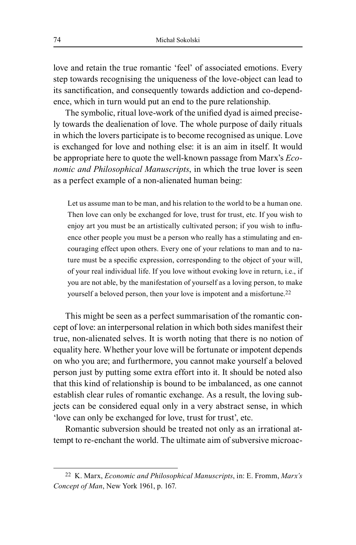love and retain the true romantic 'feel' of associated emotions. Every step towards recognising the uniqueness of the love‑object can lead to its sanctification, and consequently towards addiction and co-dependence, which in turn would put an end to the pure relationship.

The symbolic, ritual love-work of the unified dyad is aimed precisely towards the dealienation of love. The whole purpose of daily rituals in which the lovers participate is to become recognised as unique. Love is exchanged for love and nothing else: it is an aim in itself. It would be appropriate here to quote the well‑known passage from Marx's *Economic and Philosophical Manuscripts*, in which the true lover is seen as a perfect example of a non-alienated human being:

Let us assume man to be man, and his relation to the world to be a human one. Then love can only be exchanged for love, trust for trust, etc. If you wish to enjoy art you must be an artistically cultivated person; if you wish to influence other people you must be a person who really has a stimulating and encouraging effect upon others. Every one of your relations to man and to nature must be a specific expression, corresponding to the object of your will, of your real individual life. If you love without evoking love in return, i.e., if you are not able, by the manifestation of yourself as a loving person, to make yourself a beloved person, then your love is impotent and a misfortune.<sup>22</sup>

This might be seen as a perfect summarisation of the romantic concept of love: an interpersonal relation in which both sides manifest their true, non‑alienated selves. It is worth noting that there is no notion of equality here. Whether your love will be fortunate or impotent depends on who you are; and furthermore, you cannot make yourself a beloved person just by putting some extra effort into it. It should be noted also that this kind of relationship is bound to be imbalanced, as one cannot establish clear rules of romantic exchange. As a result, the loving subjects can be considered equal only in a very abstract sense, in which 'love can only be exchanged for love, trust for trust', etc.

Romantic subversion should be treated not only as an irrational attempt to re-enchant the world. The ultimate aim of subversive microac-

<sup>22</sup> K. Marx, *Economic and Philosophical Manuscripts*, in: E. Fromm, *Marx's Concept of Man*, New York 1961, p. 167.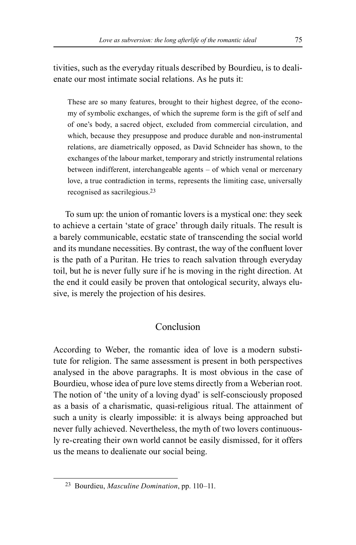tivities, such as the everyday rituals described by Bourdieu, is to dealienate our most intimate social relations. As he puts it:

These are so many features, brought to their highest degree, of the economy of symbolic exchanges, of which the supreme form is the gift of self and of one's body, a sacred object, excluded from commercial circulation, and which, because they presuppose and produce durable and non-instrumental relations, are diametrically opposed, as David Schneider has shown, to the exchanges of the labour market, temporary and strictly instrumental relations between indifferent, interchangeable agents – of which venal or mercenary love, a true contradiction in terms, represents the limiting case, universally recognised as sacrilegious.23

To sum up: the union of romantic lovers is a mystical one: they seek to achieve a certain 'state of grace' through daily rituals. The result is a barely communicable, ecstatic state of transcending the social world and its mundane necessities. By contrast, the way of the confluent lover is the path of a Puritan. He tries to reach salvation through everyday toil, but he is never fully sure if he is moving in the right direction. At the end it could easily be proven that ontological security, always elusive, is merely the projection of his desires.

## Conclusion

According to Weber, the romantic idea of love is a modern substitute for religion. The same assessment is present in both perspectives analysed in the above paragraphs. It is most obvious in the case of Bourdieu, whose idea of pure love stems directly from a Weberian root. The notion of 'the unity of a loving dyad' is self-consciously proposed as a basis of a charismatic, quasi-religious ritual. The attainment of such a unity is clearly impossible: it is always being approached but never fully achieved. Nevertheless, the myth of two lovers continuously re‑creating their own world cannot be easily dismissed, for it offers us the means to dealienate our social being.

<sup>&</sup>lt;sup>23</sup> Bourdieu, *Masculine Domination*, pp. 110-11.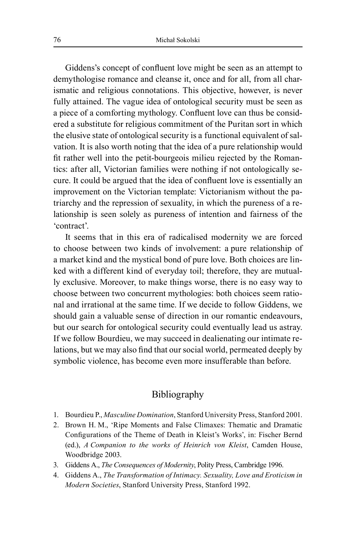Giddens's concept of confluent love might be seen as an attempt to demythologise romance and cleanse it, once and for all, from all charismatic and religious connotations. This objective, however, is never fully attained. The vague idea of ontological security must be seen as a piece of a comforting mythology. Confluent love can thus be considered a substitute for religious commitment of the Puritan sort in which the elusive state of ontological security is a functional equivalent of salvation. It is also worth noting that the idea of a pure relationship would fit rather well into the petit-bourgeois milieu rejected by the Romantics: after all, Victorian families were nothing if not ontologically secure. It could be argued that the idea of confluent love is essentially an improvement on the Victorian template: Victorianism without the patriarchy and the repression of sexuality, in which the pureness of a re‑ lationship is seen solely as pureness of intention and fairness of the 'contract'.

It seems that in this era of radicalised modernity we are forced to choose between two kinds of involvement: a pure relationship of a market kind and the mystical bond of pure love. Both choices are linked with a different kind of everyday toil; therefore, they are mutually exclusive. Moreover, to make things worse, there is no easy way to choose between two concurrent mythologies: both choices seem rational and irrational at the same time. If we decide to follow Giddens, we should gain a valuable sense of direction in our romantic endeavours, but our search for ontological security could eventually lead us astray. If we follow Bourdieu, we may succeed in dealienating our intimate relations, but we may also find that our social world, permeated deeply by symbolic violence, has become even more insufferable than before.

### Bibliography

- 1. Bourdieu P., *Masculine Domination*, Stanford University Press, Stanford 2001.
- 2. Brown H. M., 'Ripe Moments and False Climaxes: Thematic and Dramatic Configurations of the Theme of Death in Kleist's Works', in: Fischer Bernd (ed.), *A Companion to the works of Heinrich von Kleist*, Camden House, Woodbridge 2003.
- 3. Giddens A., *The Consequences of Modernity*, Polity Press, Cambridge 1996.
- 4. Giddens A., *The Transformation of Intimacy. Sexuality, Love and Eroticism in Modern Societies*, Stanford University Press, Stanford 1992.